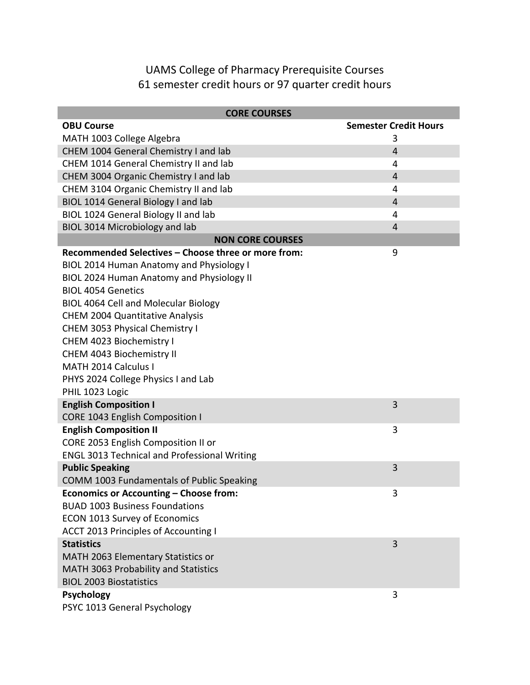## UAMS College of Pharmacy Prerequisite Courses 61 semester credit hours or 97 quarter credit hours

| <b>CORE COURSES</b>                                 |                              |  |
|-----------------------------------------------------|------------------------------|--|
| <b>OBU Course</b>                                   | <b>Semester Credit Hours</b> |  |
| MATH 1003 College Algebra                           | 3                            |  |
| CHEM 1004 General Chemistry I and lab               | $\overline{4}$               |  |
| CHEM 1014 General Chemistry II and lab              | 4                            |  |
| CHEM 3004 Organic Chemistry I and lab               | $\overline{4}$               |  |
| CHEM 3104 Organic Chemistry II and lab              | 4                            |  |
| BIOL 1014 General Biology I and lab                 | $\overline{4}$               |  |
| BIOL 1024 General Biology II and lab                | 4                            |  |
| BIOL 3014 Microbiology and lab                      | 4                            |  |
| <b>NON CORE COURSES</b>                             |                              |  |
| Recommended Selectives - Choose three or more from: | 9                            |  |
| BIOL 2014 Human Anatomy and Physiology I            |                              |  |
| BIOL 2024 Human Anatomy and Physiology II           |                              |  |
| <b>BIOL 4054 Genetics</b>                           |                              |  |
| BIOL 4064 Cell and Molecular Biology                |                              |  |
| <b>CHEM 2004 Quantitative Analysis</b>              |                              |  |
| CHEM 3053 Physical Chemistry I                      |                              |  |
| CHEM 4023 Biochemistry I                            |                              |  |
| CHEM 4043 Biochemistry II                           |                              |  |
| MATH 2014 Calculus I                                |                              |  |
| PHYS 2024 College Physics I and Lab                 |                              |  |
| PHIL 1023 Logic                                     |                              |  |
| <b>English Composition I</b>                        | 3                            |  |
| CORE 1043 English Composition I                     |                              |  |
| <b>English Composition II</b>                       | 3                            |  |
| CORE 2053 English Composition II or                 |                              |  |
| <b>ENGL 3013 Technical and Professional Writing</b> |                              |  |
| <b>Public Speaking</b>                              | 3                            |  |
| COMM 1003 Fundamentals of Public Speaking           |                              |  |
| Economics or Accounting - Choose from:              | 3                            |  |
| <b>BUAD 1003 Business Foundations</b>               |                              |  |
| <b>ECON 1013 Survey of Economics</b>                |                              |  |
| <b>ACCT 2013 Principles of Accounting I</b>         |                              |  |
| <b>Statistics</b>                                   | 3                            |  |
| MATH 2063 Elementary Statistics or                  |                              |  |
| MATH 3063 Probability and Statistics                |                              |  |
| <b>BIOL 2003 Biostatistics</b>                      |                              |  |
| <b>Psychology</b>                                   | 3                            |  |
| PSYC 1013 General Psychology                        |                              |  |